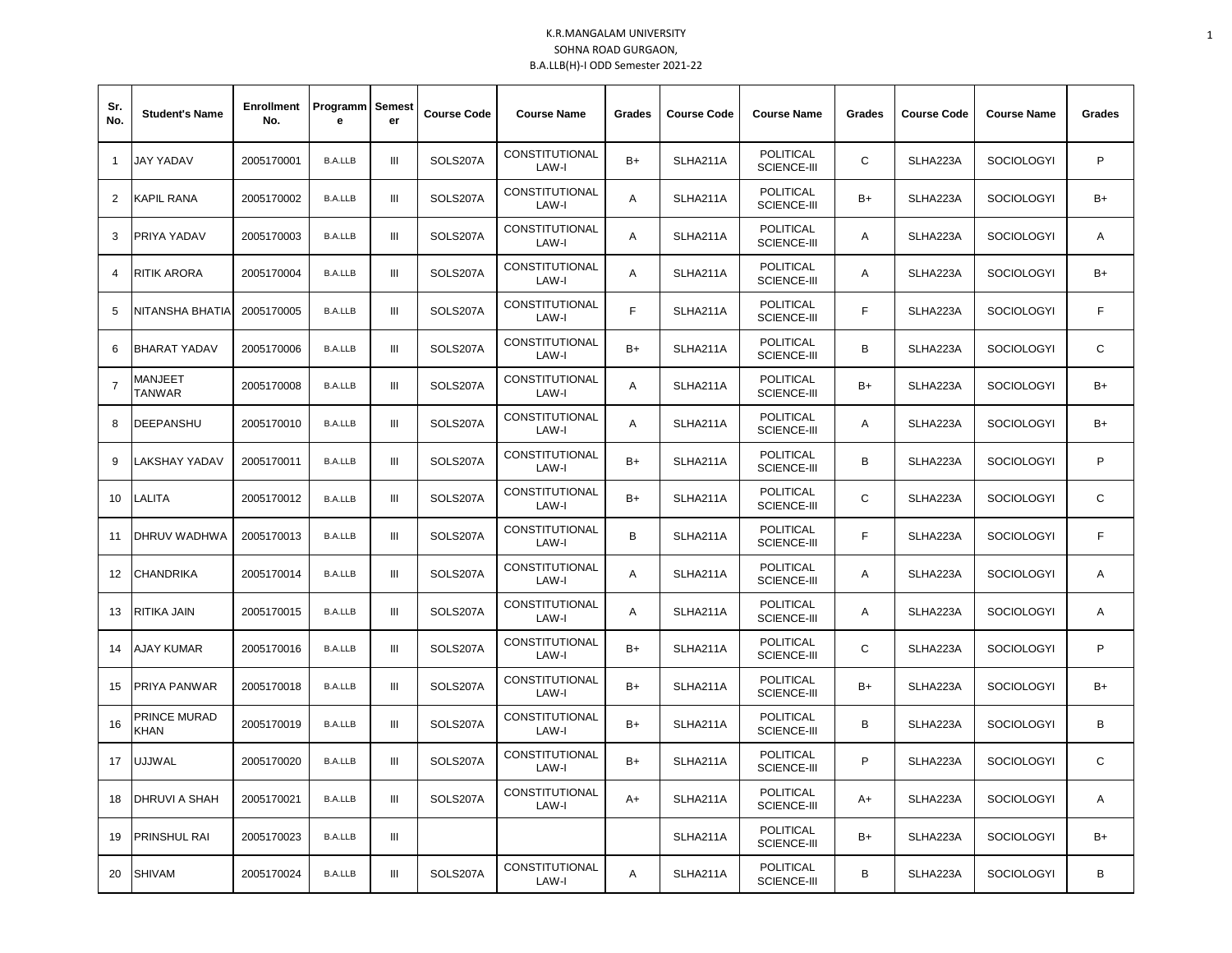| Sr.<br>No.     | <b>Student's Name</b> | <b>Enrollment</b><br>No. | Programm   Semest<br>е | er             | <b>Course Code</b> | <b>Course Name</b>             | Grades | <b>Course Code</b> | <b>Course Name</b>                     | Grades | <b>Course Code</b> | <b>Course Name</b> | Grades       |
|----------------|-----------------------|--------------------------|------------------------|----------------|--------------------|--------------------------------|--------|--------------------|----------------------------------------|--------|--------------------|--------------------|--------------|
| $\mathbf{1}$   | JAY YADAV             | 2005170001               | <b>B.A.LLB</b>         | Ш              | SOLS207A           | <b>CONSTITUTIONAL</b><br>LAW-I | $B+$   | SLHA211A           | <b>POLITICAL</b><br><b>SCIENCE-III</b> | C      | SLHA223A           | SOCIOLOGYI         | P            |
| 2              | KAPIL RANA            | 2005170002               | <b>B.A.LLB</b>         | Ш              | SOLS207A           | <b>CONSTITUTIONAL</b><br>LAW-I | Α      | SLHA211A           | POLITICAL<br><b>SCIENCE-III</b>        | $B+$   | SLHA223A           | <b>SOCIOLOGYI</b>  | $B+$         |
| 3              | PRIYA YADAV           | 2005170003               | <b>B.A.LLB</b>         | Ш              | SOLS207A           | CONSTITUTIONAL<br>LAW-I        | A      | SLHA211A           | POLITICAL<br><b>SCIENCE-III</b>        | A      | SLHA223A           | <b>SOCIOLOGYI</b>  | A            |
| 4              | RITIK ARORA           | 2005170004               | <b>B.A.LLB</b>         | Ш              | SOLS207A           | CONSTITUTIONAL<br>LAW-I        | A      | SLHA211A           | <b>POLITICAL</b><br><b>SCIENCE-III</b> | A      | SLHA223A           | <b>SOCIOLOGYI</b>  | B+           |
| 5              | NITANSHA BHATIA       | 2005170005               | <b>B.A.LLB</b>         | Ш              | SOLS207A           | CONSTITUTIONAL<br>LAW-I        | F      | SLHA211A           | <b>POLITICAL</b><br><b>SCIENCE-III</b> | F      | SLHA223A           | <b>SOCIOLOGYI</b>  | F            |
| 6              | BHARAT YADAV          | 2005170006               | <b>B.A.LLB</b>         | Ш              | SOLS207A           | <b>CONSTITUTIONAL</b><br>LAW-I | $B+$   | SLHA211A           | <b>POLITICAL</b><br><b>SCIENCE-III</b> | в      | SLHA223A           | <b>SOCIOLOGYI</b>  | С            |
| $\overline{7}$ | MANJEET<br>TANWAR     | 2005170008               | <b>B.A.LLB</b>         | Ш              | SOLS207A           | <b>CONSTITUTIONAL</b><br>LAW-I | Α      | SLHA211A           | <b>POLITICAL</b><br><b>SCIENCE-III</b> | $B+$   | SLHA223A           | SOCIOLOGYI         | B+           |
| 8              | DEEPANSHU             | 2005170010               | <b>B.A.LLB</b>         | Ш              | SOLS207A           | CONSTITUTIONAL<br>LAW-I        | A      | SLHA211A           | <b>POLITICAL</b><br><b>SCIENCE-III</b> | A      | SLHA223A           | SOCIOLOGYI         | $B+$         |
| 9              | LAKSHAY YADAV         | 2005170011               | <b>B.A.LLB</b>         | Ш              | SOLS207A           | CONSTITUTIONAL<br>LAW-I        | $B+$   | SLHA211A           | <b>POLITICAL</b><br><b>SCIENCE-III</b> | B      | SLHA223A           | <b>SOCIOLOGYI</b>  | $\mathsf{P}$ |
| 10             | LALITA                | 2005170012               | <b>B.A.LLB</b>         | Ш              | SOLS207A           | CONSTITUTIONAL<br>LAW-I        | $B+$   | SLHA211A           | <b>POLITICAL</b><br><b>SCIENCE-III</b> | C      | SLHA223A           | <b>SOCIOLOGYI</b>  | C            |
| 11             | DHRUV WADHWA          | 2005170013               | <b>B.A.LLB</b>         | $\mathbf{III}$ | SOLS207A           | <b>CONSTITUTIONAL</b><br>LAW-I | B      | SLHA211A           | <b>POLITICAL</b><br><b>SCIENCE-III</b> | F      | SLHA223A           | SOCIOLOGYI         | F            |
| 12             | CHANDRIKA             | 2005170014               | <b>B.A.LLB</b>         | Ш              | SOLS207A           | <b>CONSTITUTIONAL</b><br>LAW-I | Α      | SLHA211A           | POLITICAL<br><b>SCIENCE-III</b>        | A      | SLHA223A           | SOCIOLOGYI         | Α            |
| 13             | RITIKA JAIN           | 2005170015               | <b>B.A.LLB</b>         | Ш              | SOLS207A           | CONSTITUTIONAL<br>LAW-I        | Α      | SLHA211A           | <b>POLITICAL</b><br><b>SCIENCE-III</b> | Α      | SLHA223A           | <b>SOCIOLOGYI</b>  | Α            |
| 14             | AJAY KUMAR            | 2005170016               | <b>B.A.LLB</b>         | Ш              | SOLS207A           | CONSTITUTIONAL<br>LAW-I        | $B+$   | SLHA211A           | <b>POLITICAL</b><br><b>SCIENCE-III</b> | C      | SLHA223A           | <b>SOCIOLOGYI</b>  | P            |
| 15             | PRIYA PANWAR          | 2005170018               | <b>B.A.LLB</b>         | Ш              | SOLS207A           | CONSTITUTIONAL<br>LAW-I        | $B+$   | SLHA211A           | <b>POLITICAL</b><br><b>SCIENCE-III</b> | $B+$   | SLHA223A           | <b>SOCIOLOGYI</b>  | B+           |
| 16             | PRINCE MURAD<br>KHAN  | 2005170019               | <b>B.A.LLB</b>         | Ш              | SOLS207A           | <b>CONSTITUTIONAL</b><br>LAW-I | B+     | SLHA211A           | <b>POLITICAL</b><br><b>SCIENCE-III</b> | B      | SLHA223A           | <b>SOCIOLOGYI</b>  | B            |
| 17             | UJJWAL                | 2005170020               | <b>B.A.LLB</b>         | Ш              | SOLS207A           | <b>CONSTITUTIONAL</b><br>LAW-I | B+     | SLHA211A           | <b>POLITICAL</b><br><b>SCIENCE-III</b> | P      | SLHA223A           | <b>SOCIOLOGYI</b>  | C            |
| 18             | DHRUVI A SHAH         | 2005170021               | <b>B.A.LLB</b>         | Ш              | SOLS207A           | <b>CONSTITUTIONAL</b><br>LAW-I | A+     | SLHA211A           | <b>POLITICAL</b><br><b>SCIENCE-III</b> | A+     | SLHA223A           | <b>SOCIOLOGYI</b>  | Α            |
| 19             | PRINSHUL RAI          | 2005170023               | <b>B.A.LLB</b>         | Ш              |                    |                                |        | SLHA211A           | <b>POLITICAL</b><br><b>SCIENCE-III</b> | $B+$   | SLHA223A           | SOCIOLOGYI         | B+           |
| 20             | <b>SHIVAM</b>         | 2005170024               | <b>B.A.LLB</b>         | Ш              | SOLS207A           | CONSTITUTIONAL<br>LAW-I        | Α      | SLHA211A           | <b>POLITICAL</b><br><b>SCIENCE-III</b> | В      | SLHA223A           | <b>SOCIOLOGYI</b>  | В            |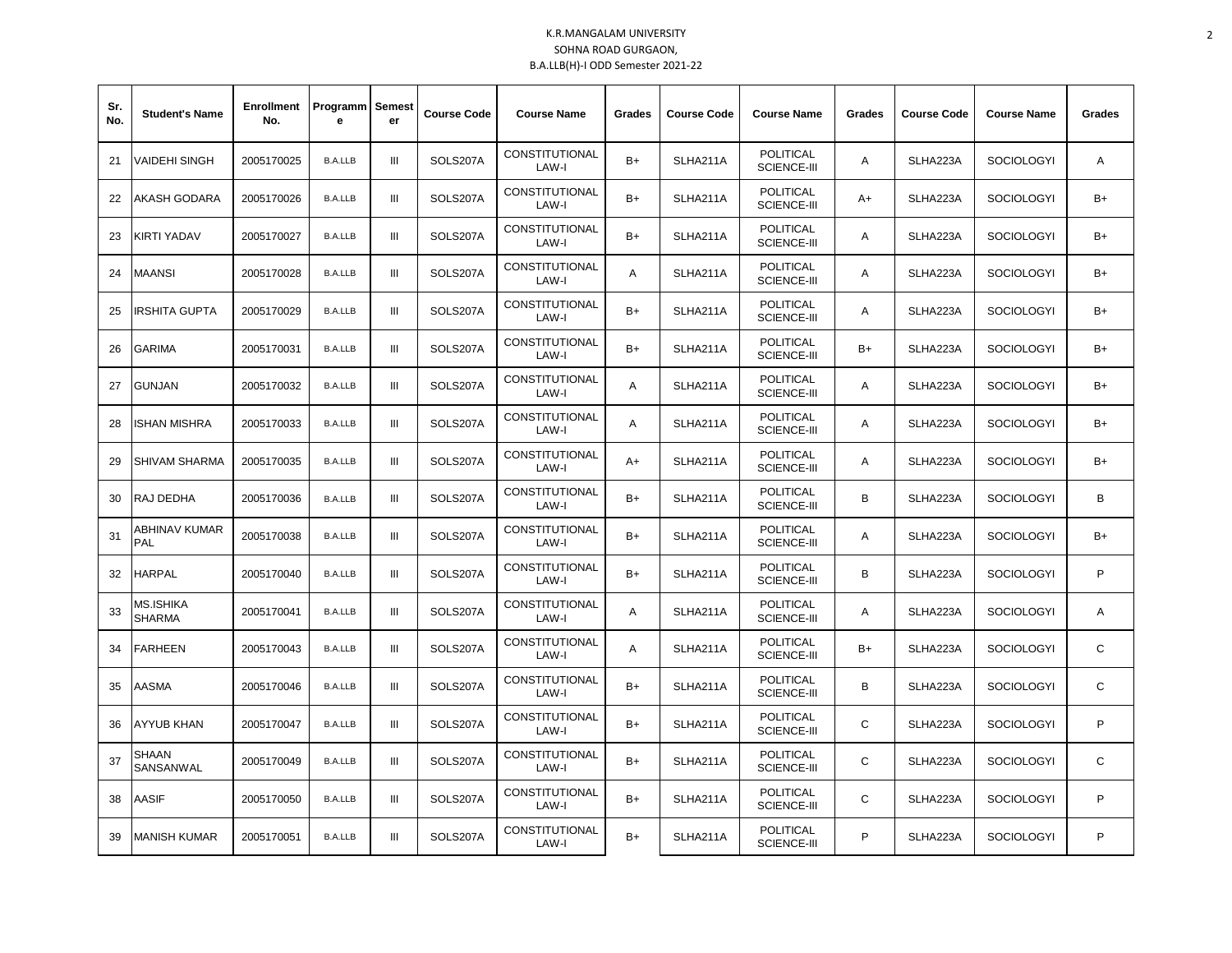| Sr.<br>No. | <b>Student's Name</b> | Enrollment<br>No. | Programm<br>е  | Semest<br>er   | <b>Course Code</b> | <b>Course Name</b>             | Grades | <b>Course Code</b> | <b>Course Name</b>                     | Grades | <b>Course Code</b> | <b>Course Name</b> | Grades       |
|------------|-----------------------|-------------------|----------------|----------------|--------------------|--------------------------------|--------|--------------------|----------------------------------------|--------|--------------------|--------------------|--------------|
| 21         | VAIDEHI SINGH         | 2005170025        | <b>B.A.LLB</b> | Ш              | SOLS207A           | CONSTITUTIONAL<br>LAW-I        | $B+$   | SLHA211A           | <b>POLITICAL</b><br><b>SCIENCE-III</b> | A      | SLHA223A           | <b>SOCIOLOGYI</b>  | Α            |
| 22         | AKASH GODARA          | 2005170026        | <b>B.A.LLB</b> | Ш              | SOLS207A           | CONSTITUTIONAL<br>LAW-I        | $B+$   | SLHA211A           | <b>POLITICAL</b><br><b>SCIENCE-III</b> | A+     | SLHA223A           | <b>SOCIOLOGYI</b>  | $B+$         |
| 23         | KIRTI YADAV           | 2005170027        | <b>B.A.LLB</b> | Ш              | SOLS207A           | CONSTITUTIONAL<br>LAW-I        | $B+$   | SLHA211A           | <b>POLITICAL</b><br>SCIENCE-III        | A      | SLHA223A           | <b>SOCIOLOGYI</b>  | $B+$         |
| 24         | MAANSI                | 2005170028        | <b>B.A.LLB</b> | Ш              | SOLS207A           | CONSTITUTIONAL<br>LAW-I        | A      | SLHA211A           | <b>POLITICAL</b><br><b>SCIENCE-III</b> | A      | SLHA223A           | <b>SOCIOLOGYI</b>  | $B+$         |
| 25         | IRSHITA GUPTA         | 2005170029        | <b>B.A.LLB</b> | Ш              | SOLS207A           | CONSTITUTIONAL<br>LAW-I        | $B+$   | SLHA211A           | <b>POLITICAL</b><br><b>SCIENCE-III</b> | A      | SLHA223A           | <b>SOCIOLOGYI</b>  | $B+$         |
| 26         | <b>GARIMA</b>         | 2005170031        | <b>B.A.LLB</b> | III            | SOLS207A           | <b>CONSTITUTIONAL</b><br>LAW-I | $B+$   | SLHA211A           | <b>POLITICAL</b><br><b>SCIENCE-III</b> | $B+$   | SLHA223A           | <b>SOCIOLOGYI</b>  | $B+$         |
| 27         | GUNJAN                | 2005170032        | <b>B.A.LLB</b> | Ш              | SOLS207A           | <b>CONSTITUTIONAL</b><br>LAW-I | A      | SLHA211A           | <b>POLITICAL</b><br><b>SCIENCE-III</b> | A      | SLHA223A           | SOCIOLOGYI         | $B+$         |
| 28         | ISHAN MISHRA          | 2005170033        | <b>B.A.LLB</b> | Ш              | SOLS207A           | <b>CONSTITUTIONAL</b><br>LAW-I | Α      | SLHA211A           | <b>POLITICAL</b><br><b>SCIENCE-III</b> | Α      | SLHA223A           | <b>SOCIOLOGYI</b>  | $B+$         |
| 29         | SHIVAM SHARMA         | 2005170035        | <b>B.A.LLB</b> | Ш              | SOLS207A           | CONSTITUTIONAL<br>LAW-I        | A+     | SLHA211A           | <b>POLITICAL</b><br>SCIENCE-III        | Α      | SLHA223A           | <b>SOCIOLOGYI</b>  | $B+$         |
| 30         | RAJ DEDHA             | 2005170036        | <b>B.A.LLB</b> | Ш              | SOLS207A           | CONSTITUTIONAL<br>LAW-I        | $B+$   | SLHA211A           | <b>POLITICAL</b><br><b>SCIENCE-III</b> | B      | SLHA223A           | <b>SOCIOLOGYI</b>  | B            |
| 31         | ABHINAV KUMAR<br>PAL  | 2005170038        | <b>B.A.LLB</b> | Ш              | SOLS207A           | CONSTITUTIONAL<br>LAW-I        | $B+$   | SLHA211A           | <b>POLITICAL</b><br><b>SCIENCE-III</b> | Α      | SLHA223A           | <b>SOCIOLOGYI</b>  | $B+$         |
| 32         | <b>HARPAL</b>         | 2005170040        | <b>B.A.LLB</b> | Ш              | SOLS207A           | CONSTITUTIONAL<br>LAW-I        | B+     | SLHA211A           | POLITICAL<br>SCIENCE-III               | B      | SLHA223A           | <b>SOCIOLOGYI</b>  | P            |
| 33         | MS.ISHIKA<br>SHARMA   | 2005170041        | <b>B.A.LLB</b> | Ш              | SOLS207A           | <b>CONSTITUTIONAL</b><br>LAW-I | A      | SLHA211A           | <b>POLITICAL</b><br><b>SCIENCE-III</b> | A      | SLHA223A           | <b>SOCIOLOGYI</b>  | A            |
| 34         | FARHEEN               | 2005170043        | <b>B.A.LLB</b> | Ш              | SOLS207A           | CONSTITUTIONAL<br>LAW-I        | A      | SLHA211A           | POLITICAL<br><b>SCIENCE-III</b>        | $B+$   | SLHA223A           | <b>SOCIOLOGYI</b>  | $\mathsf{C}$ |
| 35         | AASMA                 | 2005170046        | <b>B.A.LLB</b> | Ш              | SOLS207A           | <b>CONSTITUTIONAL</b><br>LAW-I | B+     | SLHA211A           | <b>POLITICAL</b><br><b>SCIENCE-III</b> | B      | SLHA223A           | <b>SOCIOLOGYI</b>  | C            |
| 36         | AYYUB KHAN            | 2005170047        | <b>B.A.LLB</b> | Ш              | SOLS207A           | CONSTITUTIONAL<br>LAW-I        | $B+$   | SLHA211A           | <b>POLITICAL</b><br>SCIENCE-III        | C      | SLHA223A           | <b>SOCIOLOGYI</b>  | P            |
| 37         | SHAAN<br>SANSANWAL    | 2005170049        | <b>B.A.LLB</b> | $\mathbf{III}$ | SOLS207A           | <b>CONSTITUTIONAL</b><br>LAW-I | $B+$   | SLHA211A           | <b>POLITICAL</b><br>SCIENCE-III        | C      | SLHA223A           | <b>SOCIOLOGYI</b>  | C            |
| 38         | AASIF                 | 2005170050        | <b>B.A.LLB</b> | Ш              | SOLS207A           | CONSTITUTIONAL<br>LAW-I        | B+     | SLHA211A           | <b>POLITICAL</b><br><b>SCIENCE-III</b> | C      | SLHA223A           | SOCIOLOGYI         | P            |
| 39         | <b>MANISH KUMAR</b>   | 2005170051        | <b>B.A.LLB</b> | Ш              | SOLS207A           | CONSTITUTIONAL<br>LAW-I        | $B+$   | SLHA211A           | POLITICAL<br><b>SCIENCE-III</b>        | P      | SLHA223A           | <b>SOCIOLOGYI</b>  | P            |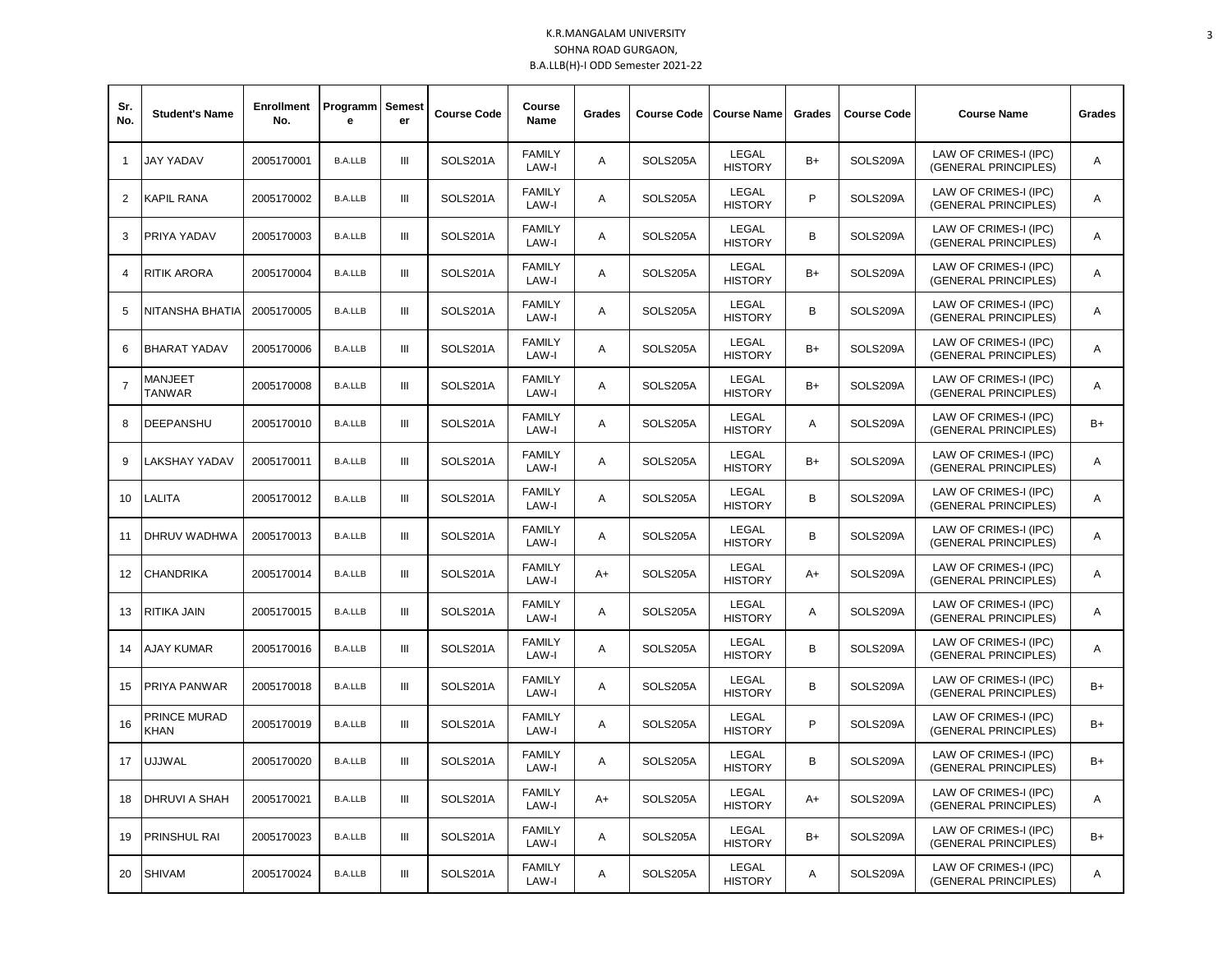| Sr.<br>No.        | <b>Student's Name</b>       | <b>Enrollment</b><br>No. | Programm   Semest<br>е | er | <b>Course Code</b> | Course<br><b>Name</b>  | Grades       | <b>Course Code</b> | <b>Course Name</b>             | Grades | <b>Course Code</b> | <b>Course Name</b>                            | Grades |
|-------------------|-----------------------------|--------------------------|------------------------|----|--------------------|------------------------|--------------|--------------------|--------------------------------|--------|--------------------|-----------------------------------------------|--------|
| $\overline{1}$    | <b>JAY YADAV</b>            | 2005170001               | <b>B.A.LLB</b>         | Ш  | SOLS201A           | <b>FAMILY</b><br>LAW-I | A            | SOLS205A           | <b>LEGAL</b><br><b>HISTORY</b> | B+     | SOLS209A           | LAW OF CRIMES-I (IPC)<br>(GENERAL PRINCIPLES) | A      |
| 2                 | <b>KAPIL RANA</b>           | 2005170002               | <b>B.A.LLB</b>         | Ш  | SOLS201A           | <b>FAMILY</b><br>LAW-I | Α            | SOLS205A           | <b>LEGAL</b><br><b>HISTORY</b> | P      | SOLS209A           | LAW OF CRIMES-I (IPC)<br>(GENERAL PRINCIPLES) | Α      |
| 3                 | <b>PRIYA YADAV</b>          | 2005170003               | <b>B.A.LLB</b>         | Ш  | SOLS201A           | <b>FAMILY</b><br>LAW-I | A            | SOLS205A           | LEGAL<br><b>HISTORY</b>        | B      | SOLS209A           | LAW OF CRIMES-I (IPC)<br>(GENERAL PRINCIPLES) | Α      |
| $\overline{4}$    | <b>RITIK ARORA</b>          | 2005170004               | <b>B.A.LLB</b>         | Ш  | SOLS201A           | <b>FAMILY</b><br>LAW-I | Α            | SOLS205A           | LEGAL<br><b>HISTORY</b>        | $B+$   | SOLS209A           | LAW OF CRIMES-I (IPC)<br>(GENERAL PRINCIPLES) | A      |
| 5                 | NITANSHA BHATIA             | 2005170005               | <b>B.A.LLB</b>         | Ш  | SOLS201A           | <b>FAMILY</b><br>LAW-I | Α            | SOLS205A           | LEGAL<br><b>HISTORY</b>        | B      | SOLS209A           | LAW OF CRIMES-I (IPC)<br>(GENERAL PRINCIPLES) | A      |
| 6                 | <b>BHARAT YADAV</b>         | 2005170006               | <b>B.A.LLB</b>         | Ш  | SOLS201A           | <b>FAMILY</b><br>LAW-I | Α            | SOLS205A           | LEGAL<br><b>HISTORY</b>        | B+     | SOLS209A           | LAW OF CRIMES-I (IPC)<br>(GENERAL PRINCIPLES) | A      |
| $\overline{7}$    | MANJEET<br><b>TANWAR</b>    | 2005170008               | <b>B.A.LLB</b>         | Ш  | SOLS201A           | <b>FAMILY</b><br>LAW-I | Α            | SOLS205A           | LEGAL<br><b>HISTORY</b>        | $B+$   | SOLS209A           | LAW OF CRIMES-I (IPC)<br>(GENERAL PRINCIPLES) | Α      |
| 8                 | DEEPANSHU                   | 2005170010               | <b>B.A.LLB</b>         | Ш  | SOLS201A           | <b>FAMILY</b><br>LAW-I | A            | SOLS205A           | LEGAL<br><b>HISTORY</b>        | Α      | SOLS209A           | LAW OF CRIMES-I (IPC)<br>(GENERAL PRINCIPLES) | $B+$   |
| 9                 | <b>LAKSHAY YADAV</b>        | 2005170011               | <b>B.A.LLB</b>         | Ш  | SOLS201A           | <b>FAMILY</b><br>LAW-I | Α            | SOLS205A           | LEGAL<br><b>HISTORY</b>        | $B+$   | SOLS209A           | LAW OF CRIMES-I (IPC)<br>(GENERAL PRINCIPLES) | A      |
| 10                | LALITA                      | 2005170012               | <b>B.A.LLB</b>         | Ш  | SOLS201A           | <b>FAMILY</b><br>LAW-I | Α            | SOLS205A           | LEGAL<br><b>HISTORY</b>        | B      | SOLS209A           | LAW OF CRIMES-I (IPC)<br>(GENERAL PRINCIPLES) | A      |
| 11                | DHRUV WADHWA                | 2005170013               | <b>B.A.LLB</b>         | Ш  | SOLS201A           | <b>FAMILY</b><br>LAW-I | Α            | SOLS205A           | LEGAL<br><b>HISTORY</b>        | B      | SOLS209A           | LAW OF CRIMES-I (IPC)<br>(GENERAL PRINCIPLES) | A      |
| $12 \overline{ }$ | <b>CHANDRIKA</b>            | 2005170014               | <b>B.A.LLB</b>         | Ш  | SOLS201A           | <b>FAMILY</b><br>LAW-I | $A+$         | SOLS205A           | LEGAL<br><b>HISTORY</b>        | A+     | SOLS209A           | LAW OF CRIMES-I (IPC)<br>(GENERAL PRINCIPLES) | A      |
| 13                | <b>RITIKA JAIN</b>          | 2005170015               | <b>B.A.LLB</b>         | Ш  | SOLS201A           | <b>FAMILY</b><br>LAW-I | Α            | SOLS205A           | LEGAL<br><b>HISTORY</b>        | Α      | SOLS209A           | LAW OF CRIMES-I (IPC)<br>(GENERAL PRINCIPLES) | Α      |
| 14                | AJAY KUMAR                  | 2005170016               | <b>B.A.LLB</b>         | Ш  | SOLS201A           | <b>FAMILY</b><br>LAW-I | Α            | SOLS205A           | <b>LEGAL</b><br><b>HISTORY</b> | B      | SOLS209A           | LAW OF CRIMES-I (IPC)<br>(GENERAL PRINCIPLES) | Α      |
| 15                | PRIYA PANWAR                | 2005170018               | <b>B.A.LLB</b>         | Ш  | SOLS201A           | <b>FAMILY</b><br>LAW-I | Α            | SOLS205A           | LEGAL<br><b>HISTORY</b>        | B      | SOLS209A           | LAW OF CRIMES-I (IPC)<br>(GENERAL PRINCIPLES) | B+     |
| 16                | PRINCE MURAD<br><b>KHAN</b> | 2005170019               | <b>B.A.LLB</b>         | Ш  | SOLS201A           | <b>FAMILY</b><br>LAW-I | A            | SOLS205A           | LEGAL<br><b>HISTORY</b>        | P      | SOLS209A           | LAW OF CRIMES-I (IPC)<br>(GENERAL PRINCIPLES) | B+     |
| 17                | UJJWAL                      | 2005170020               | <b>B.A.LLB</b>         | Ш  | SOLS201A           | <b>FAMILY</b><br>LAW-I | Α            | SOLS205A           | LEGAL<br><b>HISTORY</b>        | B      | SOLS209A           | LAW OF CRIMES-I (IPC)<br>(GENERAL PRINCIPLES) | $B+$   |
| 18                | DHRUVI A SHAH               | 2005170021               | <b>B.A.LLB</b>         | Ш  | SOLS201A           | <b>FAMILY</b><br>LAW-I | A+           | SOLS205A           | LEGAL<br><b>HISTORY</b>        | $A+$   | SOLS209A           | LAW OF CRIMES-I (IPC)<br>(GENERAL PRINCIPLES) | A      |
| 19                | PRINSHUL RAI                | 2005170023               | <b>B.A.LLB</b>         | Ш  | SOLS201A           | <b>FAMILY</b><br>LAW-I | $\mathsf{A}$ | SOLS205A           | LEGAL<br><b>HISTORY</b>        | $B+$   | SOLS209A           | LAW OF CRIMES-I (IPC)<br>(GENERAL PRINCIPLES) | $B+$   |
| 20                | <b>SHIVAM</b>               | 2005170024               | <b>B.A.LLB</b>         | Ш  | SOLS201A           | <b>FAMILY</b><br>LAW-I | $\mathsf{A}$ | SOLS205A           | LEGAL<br><b>HISTORY</b>        | A      | SOLS209A           | LAW OF CRIMES-I (IPC)<br>(GENERAL PRINCIPLES) | A      |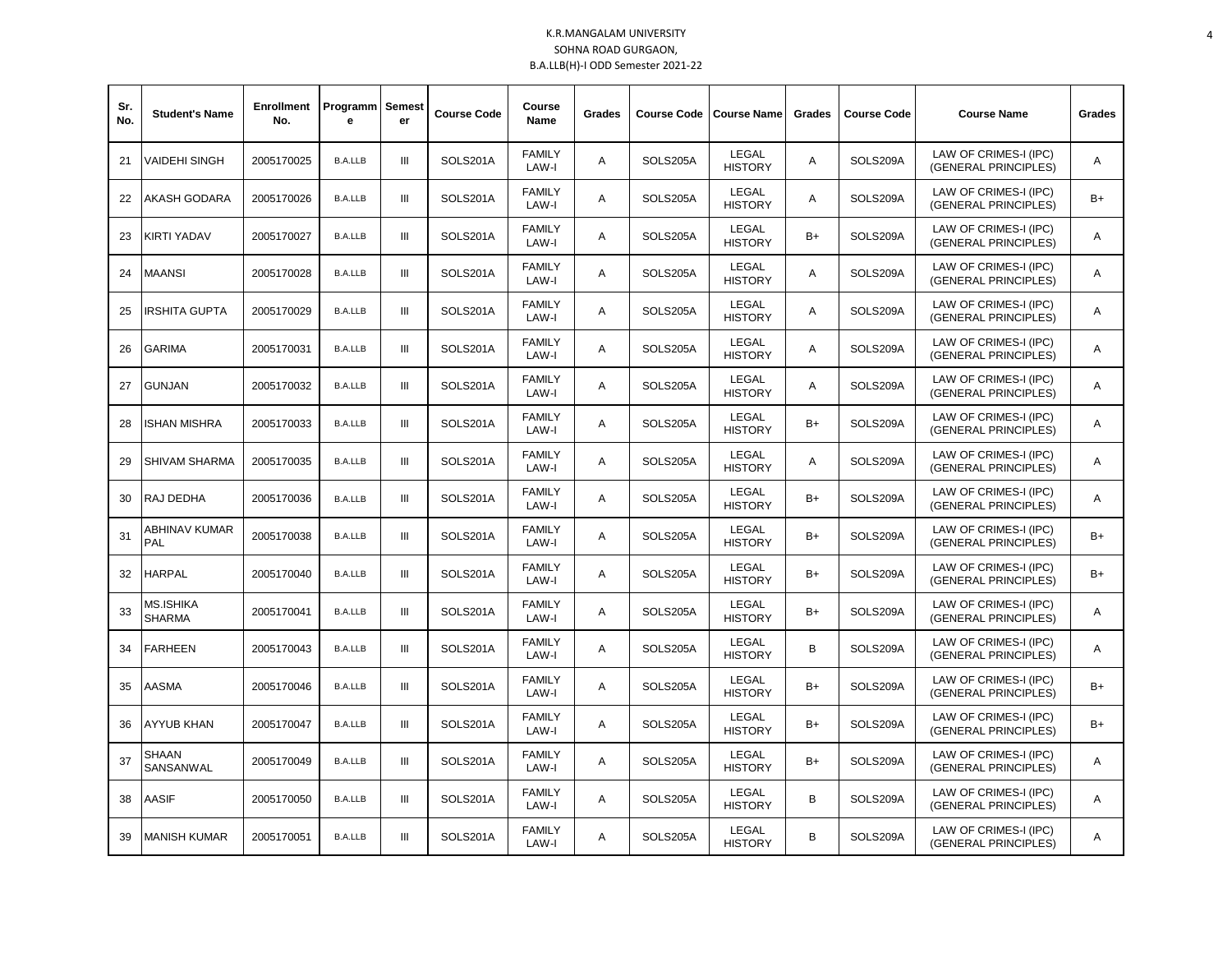| Sr.<br>No. | <b>Student's Name</b>       | <b>Enrollment</b><br>No. | Programm   Semest<br>е | er             | <b>Course Code</b> | Course<br>Name         | Grades       | <b>Course Code</b> | <b>Course Name</b>             | Grades | <b>Course Code</b> | <b>Course Name</b>                            | Grades |
|------------|-----------------------------|--------------------------|------------------------|----------------|--------------------|------------------------|--------------|--------------------|--------------------------------|--------|--------------------|-----------------------------------------------|--------|
| 21         | VAIDEHI SINGH               | 2005170025               | <b>B.A.LLB</b>         | Ш              | SOLS201A           | <b>FAMILY</b><br>LAW-I | A            | SOLS205A           | LEGAL<br><b>HISTORY</b>        | Α      | SOLS209A           | LAW OF CRIMES-I (IPC)<br>(GENERAL PRINCIPLES) | Α      |
| 22         | AKASH GODARA                | 2005170026               | <b>B.A.LLB</b>         | Ш              | SOLS201A           | <b>FAMILY</b><br>LAW-I | Α            | SOLS205A           | LEGAL<br><b>HISTORY</b>        | Α      | SOLS209A           | LAW OF CRIMES-I (IPC)<br>(GENERAL PRINCIPLES) | $B+$   |
| 23         | KIRTI YADAV                 | 2005170027               | <b>B.A.LLB</b>         | $\mathbf{III}$ | SOLS201A           | <b>FAMILY</b><br>LAW-I | Α            | SOLS205A           | LEGAL<br><b>HISTORY</b>        | $B+$   | SOLS209A           | LAW OF CRIMES-I (IPC)<br>(GENERAL PRINCIPLES) | Α      |
| 24         | <b>MAANSI</b>               | 2005170028               | <b>B.A.LLB</b>         | Ш              | SOLS201A           | <b>FAMILY</b><br>LAW-I | Α            | SOLS205A           | <b>LEGAL</b><br><b>HISTORY</b> | Α      | SOLS209A           | LAW OF CRIMES-I (IPC)<br>(GENERAL PRINCIPLES) | A      |
| 25         | IRSHITA GUPTA               | 2005170029               | <b>B.A.LLB</b>         | Ш              | SOLS201A           | <b>FAMILY</b><br>LAW-I | Α            | SOLS205A           | LEGAL<br><b>HISTORY</b>        | Α      | SOLS209A           | LAW OF CRIMES-I (IPC)<br>(GENERAL PRINCIPLES) | Α      |
| 26         | <b>GARIMA</b>               | 2005170031               | <b>B.A.LLB</b>         | Ш              | SOLS201A           | <b>FAMILY</b><br>LAW-I | A            | SOLS205A           | LEGAL<br><b>HISTORY</b>        | A      | SOLS209A           | LAW OF CRIMES-I (IPC)<br>(GENERAL PRINCIPLES) | A      |
| 27         | <b>GUNJAN</b>               | 2005170032               | <b>B.A.LLB</b>         | Ш              | SOLS201A           | <b>FAMILY</b><br>LAW-I | Α            | SOLS205A           | <b>LEGAL</b><br><b>HISTORY</b> | Α      | SOLS209A           | LAW OF CRIMES-I (IPC)<br>(GENERAL PRINCIPLES) | A      |
| 28         | ISHAN MISHRA                | 2005170033               | <b>B.A.LLB</b>         | III            | SOLS201A           | <b>FAMILY</b><br>LAW-I | $\mathsf{A}$ | SOLS205A           | LEGAL<br><b>HISTORY</b>        | $B+$   | SOLS209A           | LAW OF CRIMES-I (IPC)<br>(GENERAL PRINCIPLES) | Α      |
| 29         | SHIVAM SHARMA               | 2005170035               | <b>B.A.LLB</b>         | Ш              | SOLS201A           | <b>FAMILY</b><br>LAW-I | Α            | SOLS205A           | LEGAL<br><b>HISTORY</b>        | Α      | SOLS209A           | LAW OF CRIMES-I (IPC)<br>(GENERAL PRINCIPLES) | Α      |
| 30         | RAJ DEDHA                   | 2005170036               | <b>B.A.LLB</b>         | III            | SOLS201A           | <b>FAMILY</b><br>LAW-I | Α            | SOLS205A           | <b>LEGAL</b><br><b>HISTORY</b> | $B+$   | SOLS209A           | LAW OF CRIMES-I (IPC)<br>(GENERAL PRINCIPLES) | A      |
| 31         | <b>ABHINAV KUMAR</b><br>PAL | 2005170038               | <b>B.A.LLB</b>         | Ш              | SOLS201A           | <b>FAMILY</b><br>LAW-I | Α            | SOLS205A           | LEGAL<br><b>HISTORY</b>        | $B+$   | SOLS209A           | LAW OF CRIMES-I (IPC)<br>(GENERAL PRINCIPLES) | $B+$   |
| 32         | HARPAL                      | 2005170040               | <b>B.A.LLB</b>         | $\mathbf{III}$ | SOLS201A           | <b>FAMILY</b><br>LAW-I | A            | SOLS205A           | LEGAL<br><b>HISTORY</b>        | $B+$   | SOLS209A           | LAW OF CRIMES-I (IPC)<br>(GENERAL PRINCIPLES) | $B+$   |
| 33         | MS.ISHIKA<br><b>SHARMA</b>  | 2005170041               | <b>B.A.LLB</b>         | Ш              | SOLS201A           | <b>FAMILY</b><br>LAW-I | Α            | SOLS205A           | LEGAL<br><b>HISTORY</b>        | B+     | SOLS209A           | LAW OF CRIMES-I (IPC)<br>(GENERAL PRINCIPLES) | Α      |
| 34         | <b>FARHEEN</b>              | 2005170043               | <b>B.A.LLB</b>         | Ш              | SOLS201A           | <b>FAMILY</b><br>LAW-I | Α            | SOLS205A           | LEGAL<br><b>HISTORY</b>        | B      | SOLS209A           | LAW OF CRIMES-I (IPC)<br>(GENERAL PRINCIPLES) | A      |
| 35         | AASMA                       | 2005170046               | <b>B.A.LLB</b>         | Ш              | SOLS201A           | <b>FAMILY</b><br>LAW-I | Α            | SOLS205A           | <b>LEGAL</b><br><b>HISTORY</b> | $B+$   | SOLS209A           | LAW OF CRIMES-I (IPC)<br>(GENERAL PRINCIPLES) | B+     |
| 36         | AYYUB KHAN                  | 2005170047               | <b>B.A.LLB</b>         | Ш              | SOLS201A           | <b>FAMILY</b><br>LAW-I | A            | SOLS205A           | LEGAL<br><b>HISTORY</b>        | B+     | SOLS209A           | LAW OF CRIMES-I (IPC)<br>(GENERAL PRINCIPLES) | $B+$   |
| 37         | SHAAN<br>SANSANWAL          | 2005170049               | <b>B.A.LLB</b>         | III            | SOLS201A           | <b>FAMILY</b><br>LAW-I | A            | SOLS205A           | <b>LEGAL</b><br><b>HISTORY</b> | $B+$   | SOLS209A           | LAW OF CRIMES-I (IPC)<br>(GENERAL PRINCIPLES) | A      |
| 38         | <b>AASIF</b>                | 2005170050               | <b>B.A.LLB</b>         | Ш              | SOLS201A           | <b>FAMILY</b><br>LAW-I | A            | SOLS205A           | LEGAL<br><b>HISTORY</b>        | B      | SOLS209A           | LAW OF CRIMES-I (IPC)<br>(GENERAL PRINCIPLES) | Α      |
| 39         | <b>MANISH KUMAR</b>         | 2005170051               | <b>B.A.LLB</b>         | Ш              | SOLS201A           | <b>FAMILY</b><br>LAW-I | Α            | SOLS205A           | LEGAL<br><b>HISTORY</b>        | B      | SOLS209A           | LAW OF CRIMES-I (IPC)<br>(GENERAL PRINCIPLES) | Α      |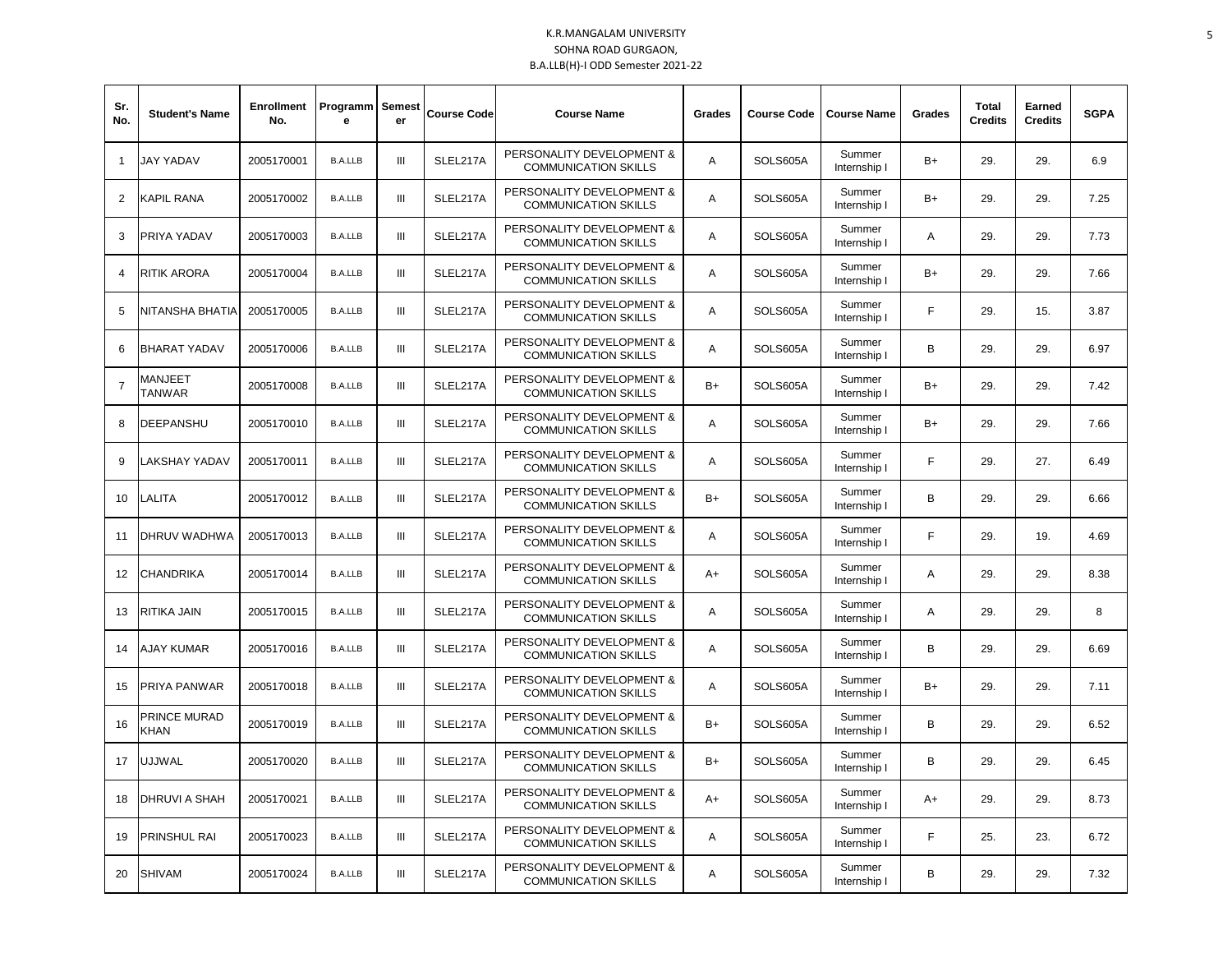| Sr.<br>No.     | <b>Student's Name</b>    | <b>Enrollment</b><br>No. | Programm<br>e  | Semest<br>er   | <b>Course Code</b> | <b>Course Name</b>                                       | Grades | <b>Course Code</b> | <b>Course Name</b>     | Grades | <b>Total</b><br><b>Credits</b> | Earned<br><b>Credits</b> | <b>SGPA</b> |
|----------------|--------------------------|--------------------------|----------------|----------------|--------------------|----------------------------------------------------------|--------|--------------------|------------------------|--------|--------------------------------|--------------------------|-------------|
| $\mathbf{1}$   | <b>JAY YADAV</b>         | 2005170001               | <b>B.A.LLB</b> | $\mathbf{III}$ | SLEL217A           | PERSONALITY DEVELOPMENT &<br><b>COMMUNICATION SKILLS</b> | A      | SOLS605A           | Summer<br>Internship I | $B+$   | 29.                            | 29.                      | 6.9         |
| $\overline{2}$ | <b>KAPIL RANA</b>        | 2005170002               | <b>B.A.LLB</b> | $\mathbf{III}$ | SLEL217A           | PERSONALITY DEVELOPMENT &<br><b>COMMUNICATION SKILLS</b> | Α      | SOLS605A           | Summer<br>Internship I | B+     | 29.                            | 29.                      | 7.25        |
| 3              | <b>PRIYA YADAV</b>       | 2005170003               | <b>B.A.LLB</b> | Ш              | SLEL217A           | PERSONALITY DEVELOPMENT &<br><b>COMMUNICATION SKILLS</b> | Α      | SOLS605A           | Summer<br>Internship I | Α      | 29.                            | 29.                      | 7.73        |
| 4              | <b>RITIK ARORA</b>       | 2005170004               | <b>B.A.LLB</b> | $\mathbf{III}$ | SLEL217A           | PERSONALITY DEVELOPMENT &<br><b>COMMUNICATION SKILLS</b> | Α      | SOLS605A           | Summer<br>Internship I | B+     | 29.                            | 29.                      | 7.66        |
| 5              | NITANSHA BHATIA          | 2005170005               | <b>B.A.LLB</b> | $\mathbf{III}$ | SLEL217A           | PERSONALITY DEVELOPMENT &<br><b>COMMUNICATION SKILLS</b> | Α      | SOLS605A           | Summer<br>Internship I | F      | 29.                            | 15.                      | 3.87        |
| 6              | <b>BHARAT YADAV</b>      | 2005170006               | <b>B.A.LLB</b> | $\mathbf{III}$ | SLEL217A           | PERSONALITY DEVELOPMENT &<br><b>COMMUNICATION SKILLS</b> | A      | SOLS605A           | Summer<br>Internship I | B      | 29.                            | 29.                      | 6.97        |
| 7              | MANJEET<br><b>TANWAR</b> | 2005170008               | <b>B.A.LLB</b> | $\mathbf{III}$ | SLEL217A           | PERSONALITY DEVELOPMENT &<br><b>COMMUNICATION SKILLS</b> | $B+$   | SOLS605A           | Summer<br>Internship I | $B+$   | 29.                            | 29.                      | 7.42        |
| 8              | DEEPANSHU                | 2005170010               | <b>B.A.LLB</b> | Ш              | SLEL217A           | PERSONALITY DEVELOPMENT &<br><b>COMMUNICATION SKILLS</b> | A      | SOLS605A           | Summer<br>Internship I | $B+$   | 29.                            | 29.                      | 7.66        |
| 9              | LAKSHAY YADAV            | 2005170011               | <b>B.A.LLB</b> | $\mathbf{III}$ | SLEL217A           | PERSONALITY DEVELOPMENT &<br><b>COMMUNICATION SKILLS</b> | A      | SOLS605A           | Summer<br>Internship I | F      | 29.                            | 27.                      | 6.49        |
| 10             | LALITA                   | 2005170012               | <b>B.A.LLB</b> | $\mathbf{m}$   | SLEL217A           | PERSONALITY DEVELOPMENT &<br><b>COMMUNICATION SKILLS</b> | $B+$   | SOLS605A           | Summer<br>Internship I | B      | 29.                            | 29.                      | 6.66        |
| 11             | DHRUV WADHWA             | 2005170013               | <b>B.A.LLB</b> | $\mathbf{III}$ | SLEL217A           | PERSONALITY DEVELOPMENT &<br><b>COMMUNICATION SKILLS</b> | Α      | SOLS605A           | Summer<br>Internship I | F.     | 29.                            | 19.                      | 4.69        |
| 12             | <b>CHANDRIKA</b>         | 2005170014               | <b>B.A.LLB</b> | Ш              | SLEL217A           | PERSONALITY DEVELOPMENT &<br><b>COMMUNICATION SKILLS</b> | A+     | SOLS605A           | Summer<br>Internship I | Α      | 29.                            | 29.                      | 8.38        |
| 13             | RITIKA JAIN              | 2005170015               | <b>B.A.LLB</b> | $\mathbf{III}$ | SLEL217A           | PERSONALITY DEVELOPMENT &<br><b>COMMUNICATION SKILLS</b> | Α      | SOLS605A           | Summer<br>Internship I | Α      | 29.                            | 29.                      | 8           |
| 14             | <b>AJAY KUMAR</b>        | 2005170016               | <b>B.A.LLB</b> | $\mathbf{III}$ | SLEL217A           | PERSONALITY DEVELOPMENT &<br><b>COMMUNICATION SKILLS</b> | Α      | SOLS605A           | Summer<br>Internship I | B      | 29.                            | 29.                      | 6.69        |
| 15             | PRIYA PANWAR             | 2005170018               | <b>B.A.LLB</b> | $\mathbf{III}$ | SLEL217A           | PERSONALITY DEVELOPMENT &<br><b>COMMUNICATION SKILLS</b> | A      | SOLS605A           | Summer<br>Internship I | $B+$   | 29.                            | 29.                      | 7.11        |
| 16             | PRINCE MURAD<br>KHAN     | 2005170019               | <b>B.A.LLB</b> | $\mathbf{III}$ | SLEL217A           | PERSONALITY DEVELOPMENT &<br><b>COMMUNICATION SKILLS</b> | $B+$   | SOLS605A           | Summer<br>Internship I | B      | 29.                            | 29.                      | 6.52        |
| 17             | UJJWAL                   | 2005170020               | <b>B.A.LLB</b> | $\mathbf{III}$ | SLEL217A           | PERSONALITY DEVELOPMENT &<br><b>COMMUNICATION SKILLS</b> | $B+$   | SOLS605A           | Summer<br>Internship I | B      | 29.                            | 29.                      | 6.45        |
| 18             | DHRUVI A SHAH            | 2005170021               | <b>B.A.LLB</b> | Ш              | SLEL217A           | PERSONALITY DEVELOPMENT &<br><b>COMMUNICATION SKILLS</b> | A+     | SOLS605A           | Summer<br>Internship I | A+     | 29.                            | 29.                      | 8.73        |
| 19             | PRINSHUL RAI             | 2005170023               | <b>B.A.LLB</b> | $\mathbf{III}$ | SLEL217A           | PERSONALITY DEVELOPMENT &<br><b>COMMUNICATION SKILLS</b> | Α      | SOLS605A           | Summer<br>Internship I | F      | 25.                            | 23.                      | 6.72        |
| 20             | <b>SHIVAM</b>            | 2005170024               | <b>B.A.LLB</b> | III            | SLEL217A           | PERSONALITY DEVELOPMENT &<br><b>COMMUNICATION SKILLS</b> | A      | SOLS605A           | Summer<br>Internship I | B      | 29.                            | 29.                      | 7.32        |